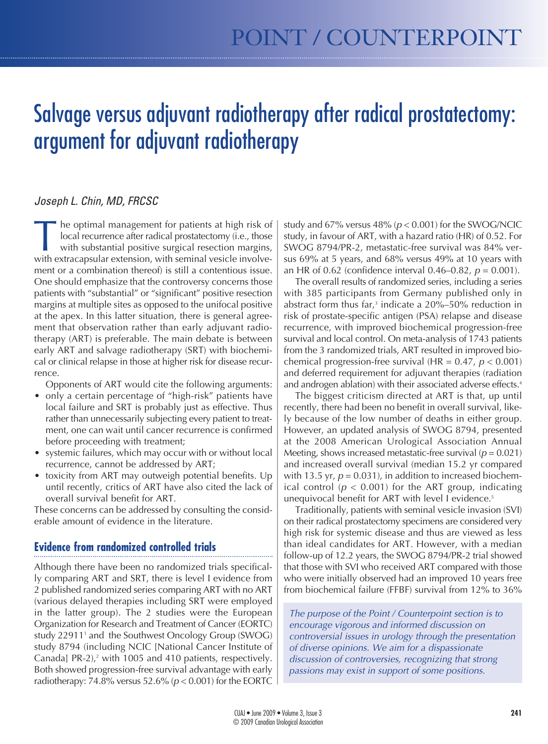# Salvage versus adjuvant radiotherapy after radical prostatectomy: argument for adjuvant radiotherapy

## Joseph L. Chin, MD, FRCSC

The optimal management for patients at high risk of<br>local recurrence after radical prostatectomy (i.e., those<br>with substantial positive surgical resection margins,<br>with extracapsular extension, with seminal vesicle involve local recurrence after radical prostatectomy (i.e., those with substantial positive surgical resection margins, with extracapsular extension, with seminal vesicle involvement or a combination thereof) is still a contentious issue. One should emphasize that the controversy concerns those patients with "substantial" or "significant" positive resection margins at multiple sites as opposed to the unifocal positive at the apex. In this latter situation, there is general agreement that observation rather than early adjuvant radiotherapy (ART) is preferable. The main debate is between early ART and salvage radiotherapy (SRT) with biochemical or clinical relapse in those at higher risk for disease recurrence.

Opponents of ART would cite the following arguments:

- only a certain percentage of "high-risk" patients have local failure and SRT is probably just as effective. Thus rather than unnecessarily subjecting every patient to treatment, one can wait until cancer recurrence is confirmed before proceeding with treatment;
- systemic failures, which may occur with or without local recurrence, cannot be addressed by ART;
- toxicity from ART may outweigh potential benefits. Up until recently, critics of ART have also cited the lack of overall survival benefit for ART.

These concerns can be addressed by consulting the considerable amount of evidence in the literature.

## **Evidence from randomized controlled trials**

Although there have been no randomized trials specifically comparing ART and SRT, there is level I evidence from 2 published randomized series comparing ART with no ART (various delayed therapies including SRT were employed in the latter group). The 2 studies were the European Organization for Research and Treatment of Cancer (EORTC) study 22911<sup>1</sup> and the Southwest Oncology Group (SWOG) study 8794 (including NCIC [National Cancer Institute of Canada] PR-2),<sup>2</sup> with 1005 and 410 patients, respectively. Both showed progression-free survival advantage with early radiotherapy: 74.8% versus  $52.6\%$  ( $p < 0.001$ ) for the EORTC study and  $67\%$  versus  $48\%$  ( $p < 0.001$ ) for the SWOG/NCIC study, in favour of ART, with a hazard ratio (HR) of 0.52. For SWOG 8794/PR-2, metastatic-free survival was 84% versus 69% at 5 years, and 68% versus 49% at 10 years with an HR of 0.62 (confidence interval 0.46–0.82,  $p = 0.001$ ).

The overall results of randomized series, including a series with 385 participants from Germany published only in abstract form thus far, $3$  indicate a 20%–50% reduction in risk of prostate-specific antigen (PSA) relapse and disease recurrence, with improved biochemical progression-free survival and local control. On meta-analysis of 1743 patients from the 3 randomized trials, ART resulted in improved biochemical progression-free survival (HR =  $0.47$ ,  $p < 0.001$ ) and deferred requirement for adjuvant therapies (radiation and androgen ablation) with their associated adverse effects.<sup>4</sup>

The biggest criticism directed at ART is that, up until recently, there had been no benefit in overall survival, likely because of the low number of deaths in either group. However, an updated analysis of SWOG 8794, presented at the 2008 American Urological Association Annual Meeting, shows increased metastatic-free survival ( $p = 0.021$ ) and increased overall survival (median 15.2 yr compared with 13.5 yr,  $p = 0.031$ ), in addition to increased biochemical control ( $p < 0.001$ ) for the ART group, indicating unequivocal benefit for ART with level I evidence.<sup>5</sup>

Traditionally, patients with seminal vesicle invasion (SVI) on their radical prostatectomy specimens are considered very high risk for systemic disease and thus are viewed as less than ideal candidates for ART. However, with a median follow-up of 12.2 years, the SWOG 8794/PR-2 trial showed that those with SVI who received ART compared with those who were initially observed had an improved 10 years free from biochemical failure (FFBF) survival from 12% to 36%

The purpose of the Point / Counterpoint section is to encourage vigorous and informed discussion on controversial issues in urology through the presentation of diverse opinions. We aim for a dispassionate discussion of controversies, recognizing that strong passions may exist in support of some positions.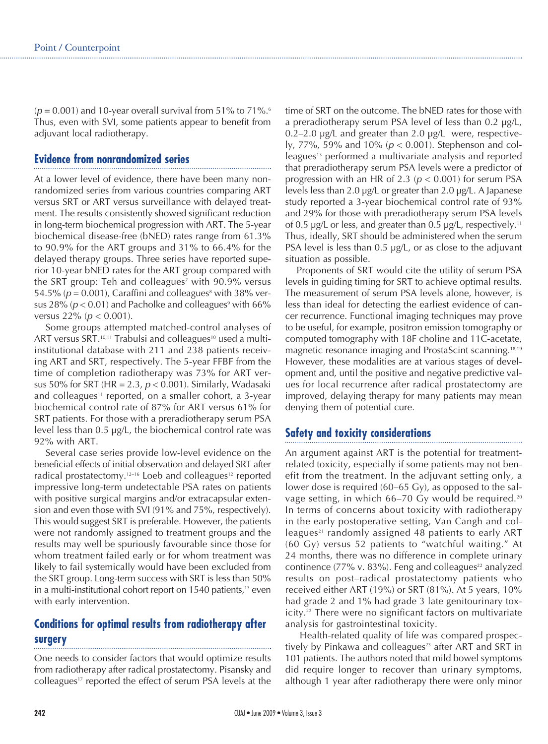$(p = 0.001)$  and 10-year overall survival from 51% to 71%.<sup>6</sup> Thus, even with SVI, some patients appear to benefit from adjuvant local radiotherapy.

#### **Evidence from nonrandomized series**

At a lower level of evidence, there have been many nonrandomized series from various countries comparing ART versus SRT or ART versus surveillance with delayed treatment. The results consistently showed significant reduction in long-term biochemical progression with ART. The 5-year biochemical disease-free (bNED) rates range from 61.3% to 90.9% for the ART groups and 31% to 66.4% for the delayed therapy groups. Three series have reported superior 10-year bNED rates for the ART group compared with the SRT group: Teh and colleagues<sup>7</sup> with 90.9% versus 54.5% ( $p = 0.001$ ), Caraffini and colleagues<sup>8</sup> with 38% versus 28% ( $p < 0.01$ ) and Pacholke and colleagues<sup>9</sup> with 66% versus  $22\%$  ( $p < 0.001$ ).

Some groups attempted matched-control analyses of ART versus SRT.<sup>10,11</sup> Trabulsi and colleagues<sup>10</sup> used a multiinstitutional database with 211 and 238 patients receiving ART and SRT, respectively. The 5-year FFBF from the time of completion radiotherapy was 73% for ART versus 50% for SRT (HR = 2.3,  $p < 0.001$ ). Similarly, Wadasaki and colleagues<sup>11</sup> reported, on a smaller cohort, a 3-year biochemical control rate of 87% for ART versus 61% for SRT patients. For those with a preradiotherapy serum PSA level less than 0.5 µg/L, the biochemical control rate was 92% with ART.

Several case series provide low-level evidence on the beneficial effects of initial observation and delayed SRT after radical prostatectomy.<sup>12-16</sup> Loeb and colleagues<sup>12</sup> reported impressive long-term undetectable PSA rates on patients with positive surgical margins and/or extracapsular extension and even those with SVI (91% and 75%, respectively). This would suggest SRT is preferable. However, the patients were not randomly assigned to treatment groups and the results may well be spuriously favourable since those for whom treatment failed early or for whom treatment was likely to fail systemically would have been excluded from the SRT group. Long-term success with SRT is less than 50% in a multi-institutional cohort report on  $1540$  patients,<sup>13</sup> even with early intervention.

# **Conditions for optimal results from radiotherapy after surgery**

One needs to consider factors that would optimize results from radiotherapy after radical prostatectomy. Pisansky and colleagues<sup>17</sup> reported the effect of serum PSA levels at the time of SRT on the outcome. The bNED rates for those with a preradiotherapy serum PSA level of less than 0.2 µg/L, 0.2–2.0 µg/L and greater than 2.0 µg/L were, respectively, 77%, 59% and 10% ( $p < 0.001$ ). Stephenson and colleagues<sup>13</sup> performed a multivariate analysis and reported that preradiotherapy serum PSA levels were a predictor of progression with an HR of 2.3 ( $p < 0.001$ ) for serum PSA levels less than 2.0 µg/L or greater than 2.0 µg/L. A Japanese study reported a 3-year biochemical control rate of 93% and 29% for those with preradiotherapy serum PSA levels of 0.5  $\mu$ g/L or less, and greater than 0.5  $\mu$ g/L, respectively.<sup>11</sup> Thus, ideally, SRT should be administered when the serum PSA level is less than 0.5  $\mu$ g/L, or as close to the adjuvant situation as possible.

Proponents of SRT would cite the utility of serum PSA levels in guiding timing for SRT to achieve optimal results. The measurement of serum PSA levels alone, however, is less than ideal for detecting the earliest evidence of cancer recurrence. Functional imaging techniques may prove to be useful, for example, positron emission tomography or computed tomography with 18F choline and 11C-acetate, magnetic resonance imaging and ProstaScint scanning.18,19 However, these modalities are at various stages of development and, until the positive and negative predictive values for local recurrence after radical prostatectomy are improved, delaying therapy for many patients may mean denying them of potential cure.

## **Safety and toxicity considerations**

An argument against ART is the potential for treatmentrelated toxicity, especially if some patients may not benefit from the treatment. In the adjuvant setting only, a lower dose is required (60–65 Gy), as opposed to the salvage setting, in which 66–70 Gy would be required.<sup>20</sup> In terms of concerns about toxicity with radiotherapy in the early postoperative setting, Van Cangh and colleagues<sup>21</sup> randomly assigned 48 patients to early ART (60 Gy) versus 52 patients to "watchful waiting." At 24 months, there was no difference in complete urinary continence (77% v. 83%). Feng and colleagues<sup>22</sup> analyzed results on post–radical prostatectomy patients who received either ART (19%) or SRT (81%). At 5 years, 10% had grade 2 and 1% had grade 3 late genitourinary toxicity.22 There were no significant factors on multivariate analysis for gastrointestinal toxicity.

Health-related quality of life was compared prospectively by Pinkawa and colleagues<sup>23</sup> after ART and SRT in 101 patients. The authors noted that mild bowel symptoms did require longer to recover than urinary symptoms, although 1 year after radiotherapy there were only minor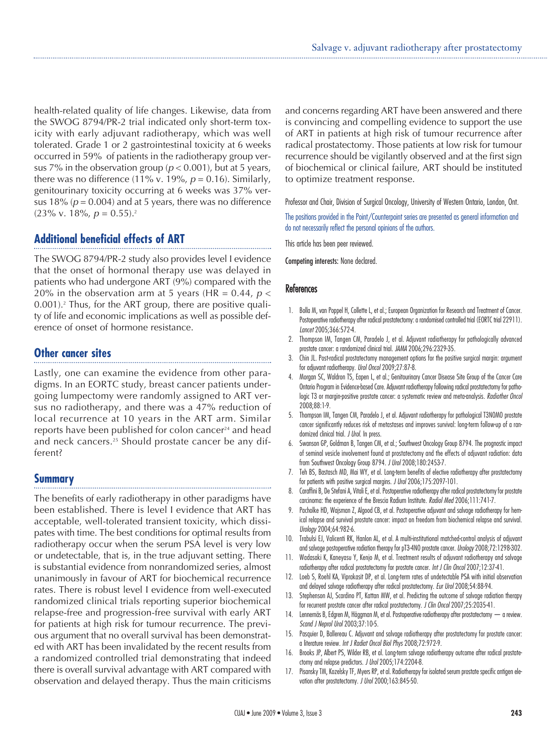health-related quality of life changes. Likewise, data from the SWOG 8794/PR-2 trial indicated only short-term toxicity with early adjuvant radiotherapy, which was well tolerated. Grade 1 or 2 gastrointestinal toxicity at 6 weeks occurred in 59% of patients in the radiotherapy group versus 7% in the observation group ( $p < 0.001$ ), but at 5 years, there was no difference (11% v. 19%,  $p = 0.16$ ). Similarly, genitourinary toxicity occurring at 6 weeks was 37% versus 18% ( $p = 0.004$ ) and at 5 years, there was no difference  $(23\% \text{ v. } 18\%, p = 0.55).$ <sup>2</sup>

## **Additional beneficial effects of ART**

The SWOG 8794/PR-2 study also provides level I evidence that the onset of hormonal therapy use was delayed in patients who had undergone ART (9%) compared with the 20% in the observation arm at 5 years (HR =  $0.44$ ,  $p <$ 0.001).2 Thus, for the ART group, there are positive quality of life and economic implications as well as possible deference of onset of hormone resistance.

#### **Other cancer sites**

Lastly, one can examine the evidence from other paradigms. In an EORTC study, breast cancer patients undergoing lumpectomy were randomly assigned to ART versus no radiotherapy, and there was a 47% reduction of local recurrence at 10 years in the ART arm. Similar reports have been published for colon cancer<sup>24</sup> and head and neck cancers.<sup>25</sup> Should prostate cancer be any different?

## **Summary**

The benefits of early radiotherapy in other paradigms have been established. There is level I evidence that ART has acceptable, well-tolerated transient toxicity, which dissipates with time. The best conditions for optimal results from radiotherapy occur when the serum PSA level is very low or undetectable, that is, in the true adjuvant setting. There is substantial evidence from nonrandomized series, almost unanimously in favour of ART for biochemical recurrence rates. There is robust level I evidence from well-executed randomized clinical trials reporting superior biochemical relapse-free and progression-free survival with early ART for patients at high risk for tumour recurrence. The previous argument that no overall survival has been demonstrated with ART has been invalidated by the recent results from a randomized controlled trial demonstrating that indeed there is overall survival advantage with ART compared with observation and delayed therapy. Thus the main criticisms

and concerns regarding ART have been answered and there is convincing and compelling evidence to support the use of ART in patients at high risk of tumour recurrence after radical prostatectomy. Those patients at low risk for tumour recurrence should be vigilantly observed and at the first sign of biochemical or clinical failure, ART should be instituted to optimize treatment response.

Professor and Chair, Division of Surgical Oncology, University of Western Ontario, London, Ont.

The positions provided in the Point/Counterpoint series are presented as general information and do not necessarily reflect the personal opinions of the authors.

This article has been peer reviewed.

Competing interests: None declared.

#### **References**

- 1. Bolla M, van Poppel H, Collette L, et al.; European Organization for Research and Treatment of Cancer. Postoperative radiotherapy after radical prostatectomy: a randomised controlled trial (EORTC trial 22911). Lancet 2005;366:572-4.
- 2. Thompson IM, Tangen CM, Paradelo J, et al. Adjuvant radiotherapy for pathologically advanced prostate cancer: a randomized clinical trial. JAMA 2006;296:2329-35.
- 3. Chin JL. Post-radical prostatectomy management options for the positive surgical margin: argument for adjuvant radiotherapy. Urol Oncol 2009;27:87-8.
- 4. Morgan SC, Waldron TS, Eapen L, et al.; Genitourinary Cancer Disease Site Group of the Cancer Care Ontario Program in Evidence-based Care. Adjuvant radiotherapy following radical prostatectomy for pathologic T3 or margin-positive prostate cancer: a systematic review and meta-analysis. Radiother Oncol 2008;88:1-9.
- 5. Thompson IM, Tangen CM, Paradelo J, et al. Adjuvant radiotherapy for pathological T3N0M0 prostate cancer significantly reduces risk of metastases and improves survival: long-term follow-up of a randomized clinical trial. J Urol. In press.
- 6. Swanson GP, Goldman B, Tangen CM, et al.; Southwest Oncology Group 8794. The prognostic impact of seminal vesicle involvement found at prostatectomy and the effects of adjuvant radiation: data from Southwest Oncology Group 8794. J Urol 2008;180:2453-7.
- 7. Teh BS, Bastasch MD, Mai WY, et al. Long-term benefits of elective radiotherapy after prostatectomy for patients with positive surgical margins. J Urol 2006;175:2097-101.
- Caraffini B, De Stefani A, Vitali E, et al. Postoperative radiotherapy after radical prostatectomy for prostate carcinoma: the experience of the Brescia Radium Institute. Radiol Med 2006;111:741-7.
- Pacholke HD, Wajsman Z, Algood CB, et al. Postoperative adjuvant and salvage radiotherapy for hemical relapse and survival prostate cancer: impact on freedom from biochemical relapse and survival. Urology 2004;64:982-6.
- 10. Trabulsi EJ, Valicenti RK, Hanlon AL, et al. A multi-institutional matched-control analysis of adjuvant and salvage postoperative radiation therapy for pT3-4N0 prostate cancer. Urology 2008;72:1298-302.
- 11. Wadasaki K, Kaneyasu Y, Kenjo M, et al. Treatment results of adjuvant radiotherapy and salvage radiotherapy after radical prostatectomy for prostate cancer. Int J Clin Oncol 2007;12:37-41.
- 12. Loeb S, Roehl KA, Viprakasit DP, et al. Long-term rates of undetectable PSA with initial observation and delayed salvage radiotherapy after radical prostatectomy. Eur Urol 2008;54:88-94.
- 13. Stephenson AJ, Scardino PT, Kattan MW, et al. Predicting the outcome of salvage radiation therapy for recurrent prostate cancer after radical prostatectomy. J Clin Oncol 2007;25:2035-41.
- 14. Lennernäs B, Edgren M, Häggman M, et al. Postoperative radiotherapy after prostatectomy a review. Scand J Neprol Urol 2003;37:10-5.
- 15. Pasquier D, Ballereau C. Adjuvant and salvage radiotherapy after prostatectomy for prostate cancer: a literature review. Int J Radiat Oncol Biol Phys 2008;72:972-9.
- 16. Brooks JP, Albert PS, Wilder RB, et al. Long-term salvage radiotherapy outcome after radical prostatectomy and relapse predictors. J Urol 2005;174:2204-8.
- 17. Pisansky TM, Kozelsky TF, Myers RP, et al. Radiotherapy for isolated serum prostate specific antigen elevation after prostatectomy. J Urol 2000;163:845-50.